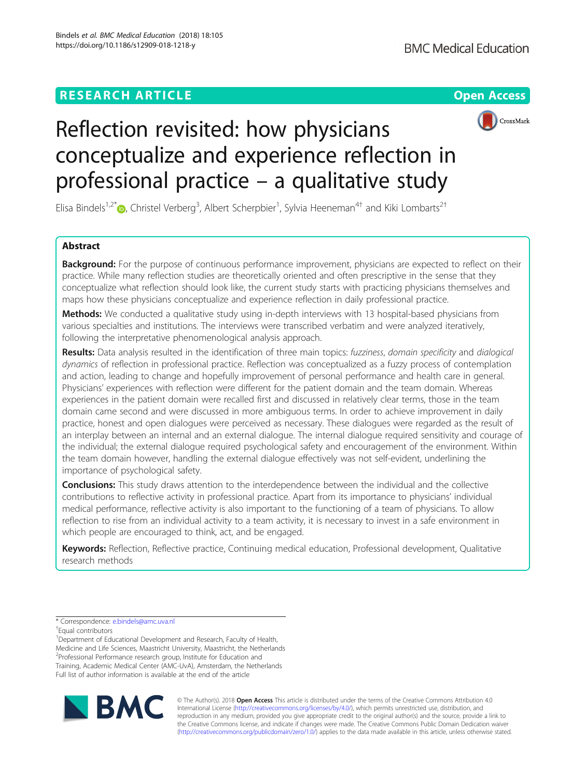

# Reflection revisited: how physicians conceptualize and experience reflection in professional practice – a qualitative study

Elisa Bindels<sup>1[,](http://orcid.org/0000-0001-6096-4950)2\*</sup> $\bullet$ , Christel Verberg<sup>3</sup>, Albert Scherpbier<sup>1</sup>, Sylvia Heeneman<sup>4†</sup> and Kiki Lombarts<sup>2†</sup>

# Abstract

Background: For the purpose of continuous performance improvement, physicians are expected to reflect on their practice. While many reflection studies are theoretically oriented and often prescriptive in the sense that they conceptualize what reflection should look like, the current study starts with practicing physicians themselves and maps how these physicians conceptualize and experience reflection in daily professional practice.

Methods: We conducted a qualitative study using in-depth interviews with 13 hospital-based physicians from various specialties and institutions. The interviews were transcribed verbatim and were analyzed iteratively, following the interpretative phenomenological analysis approach.

Results: Data analysis resulted in the identification of three main topics: fuzziness, domain specificity and dialogical dynamics of reflection in professional practice. Reflection was conceptualized as a fuzzy process of contemplation and action, leading to change and hopefully improvement of personal performance and health care in general. Physicians' experiences with reflection were different for the patient domain and the team domain. Whereas experiences in the patient domain were recalled first and discussed in relatively clear terms, those in the team domain came second and were discussed in more ambiguous terms. In order to achieve improvement in daily practice, honest and open dialogues were perceived as necessary. These dialogues were regarded as the result of an interplay between an internal and an external dialogue. The internal dialogue required sensitivity and courage of the individual; the external dialogue required psychological safety and encouragement of the environment. Within the team domain however, handling the external dialogue effectively was not self-evident, underlining the importance of psychological safety.

**Conclusions:** This study draws attention to the interdependence between the individual and the collective contributions to reflective activity in professional practice. Apart from its importance to physicians' individual medical performance, reflective activity is also important to the functioning of a team of physicians. To allow reflection to rise from an individual activity to a team activity, it is necessary to invest in a safe environment in which people are encouraged to think, act, and be engaged.

Keywords: Reflection, Reflective practice, Continuing medical education, Professional development, Qualitative research methods

Equal contributors

<sup>1</sup>Department of Educational Development and Research, Faculty of Health, Medicine and Life Sciences, Maastricht University, Maastricht, the Netherlands <sup>2</sup>Professional Performance research group, Institute for Education and Training, Academic Medical Center (AMC-UvA), Amsterdam, the Netherlands Full list of author information is available at the end of the article



© The Author(s). 2018 Open Access This article is distributed under the terms of the Creative Commons Attribution 4.0 International License [\(http://creativecommons.org/licenses/by/4.0/](http://creativecommons.org/licenses/by/4.0/)), which permits unrestricted use, distribution, and reproduction in any medium, provided you give appropriate credit to the original author(s) and the source, provide a link to the Creative Commons license, and indicate if changes were made. The Creative Commons Public Domain Dedication waiver [\(http://creativecommons.org/publicdomain/zero/1.0/](http://creativecommons.org/publicdomain/zero/1.0/)) applies to the data made available in this article, unless otherwise stated.

<sup>\*</sup> Correspondence: [e.bindels@amc.uva.nl](mailto:e.bindels@amc.uva.nl) †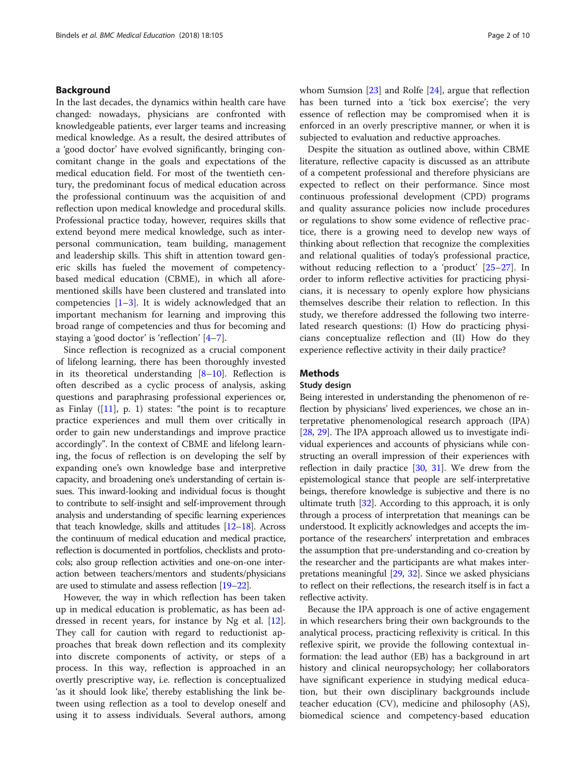# Background

In the last decades, the dynamics within health care have changed: nowadays, physicians are confronted with knowledgeable patients, ever larger teams and increasing medical knowledge. As a result, the desired attributes of a 'good doctor' have evolved significantly, bringing concomitant change in the goals and expectations of the medical education field. For most of the twentieth century, the predominant focus of medical education across the professional continuum was the acquisition of and reflection upon medical knowledge and procedural skills. Professional practice today, however, requires skills that extend beyond mere medical knowledge, such as interpersonal communication, team building, management and leadership skills. This shift in attention toward generic skills has fueled the movement of competencybased medical education (CBME), in which all aforementioned skills have been clustered and translated into competencies [[1](#page-8-0)–[3\]](#page-9-0). It is widely acknowledged that an important mechanism for learning and improving this broad range of competencies and thus for becoming and staying a 'good doctor' is 'reflection' [\[4](#page-9-0)–[7](#page-9-0)].

Since reflection is recognized as a crucial component of lifelong learning, there has been thoroughly invested in its theoretical understanding  $[8-10]$  $[8-10]$  $[8-10]$  $[8-10]$  $[8-10]$ . Reflection is often described as a cyclic process of analysis, asking questions and paraphrasing professional experiences or, as Finlay  $([11], p. 1)$  $([11], p. 1)$  $([11], p. 1)$  states: "the point is to recapture practice experiences and mull them over critically in order to gain new understandings and improve practice accordingly". In the context of CBME and lifelong learning, the focus of reflection is on developing the self by expanding one's own knowledge base and interpretive capacity, and broadening one's understanding of certain issues. This inward-looking and individual focus is thought to contribute to self-insight and self-improvement through analysis and understanding of specific learning experiences that teach knowledge, skills and attitudes [\[12](#page-9-0)–[18\]](#page-9-0). Across the continuum of medical education and medical practice, reflection is documented in portfolios, checklists and protocols; also group reflection activities and one-on-one interaction between teachers/mentors and students/physicians are used to stimulate and assess reflection [\[19](#page-9-0)–[22\]](#page-9-0).

However, the way in which reflection has been taken up in medical education is problematic, as has been addressed in recent years, for instance by Ng et al. [\[12](#page-9-0)]. They call for caution with regard to reductionist approaches that break down reflection and its complexity into discrete components of activity, or steps of a process. In this way, reflection is approached in an overtly prescriptive way, i.e. reflection is conceptualized 'as it should look like', thereby establishing the link between using reflection as a tool to develop oneself and using it to assess individuals. Several authors, among whom Sumsion [\[23\]](#page-9-0) and Rolfe [[24\]](#page-9-0), argue that reflection has been turned into a 'tick box exercise'; the very essence of reflection may be compromised when it is enforced in an overly prescriptive manner, or when it is subjected to evaluation and reductive approaches.

Despite the situation as outlined above, within CBME literature, reflective capacity is discussed as an attribute of a competent professional and therefore physicians are expected to reflect on their performance. Since most continuous professional development (CPD) programs and quality assurance policies now include procedures or regulations to show some evidence of reflective practice, there is a growing need to develop new ways of thinking about reflection that recognize the complexities and relational qualities of today's professional practice, without reducing reflection to a 'product' [[25](#page-9-0)–[27](#page-9-0)]. In order to inform reflective activities for practicing physicians, it is necessary to openly explore how physicians themselves describe their relation to reflection. In this study, we therefore addressed the following two interrelated research questions: (I) How do practicing physicians conceptualize reflection and (II) How do they experience reflective activity in their daily practice?

# Methods

#### Study design

Being interested in understanding the phenomenon of reflection by physicians' lived experiences, we chose an interpretative phenomenological research approach (IPA) [[28](#page-9-0), [29](#page-9-0)]. The IPA approach allowed us to investigate individual experiences and accounts of physicians while constructing an overall impression of their experiences with reflection in daily practice [\[30](#page-9-0), [31](#page-9-0)]. We drew from the epistemological stance that people are self-interpretative beings, therefore knowledge is subjective and there is no ultimate truth [[32](#page-9-0)]. According to this approach, it is only through a process of interpretation that meanings can be understood. It explicitly acknowledges and accepts the importance of the researchers' interpretation and embraces the assumption that pre-understanding and co-creation by the researcher and the participants are what makes interpretations meaningful [[29](#page-9-0), [32](#page-9-0)]. Since we asked physicians to reflect on their reflections, the research itself is in fact a reflective activity.

Because the IPA approach is one of active engagement in which researchers bring their own backgrounds to the analytical process, practicing reflexivity is critical. In this reflexive spirit, we provide the following contextual information: the lead author (EB) has a background in art history and clinical neuropsychology; her collaborators have significant experience in studying medical education, but their own disciplinary backgrounds include teacher education (CV), medicine and philosophy (AS), biomedical science and competency-based education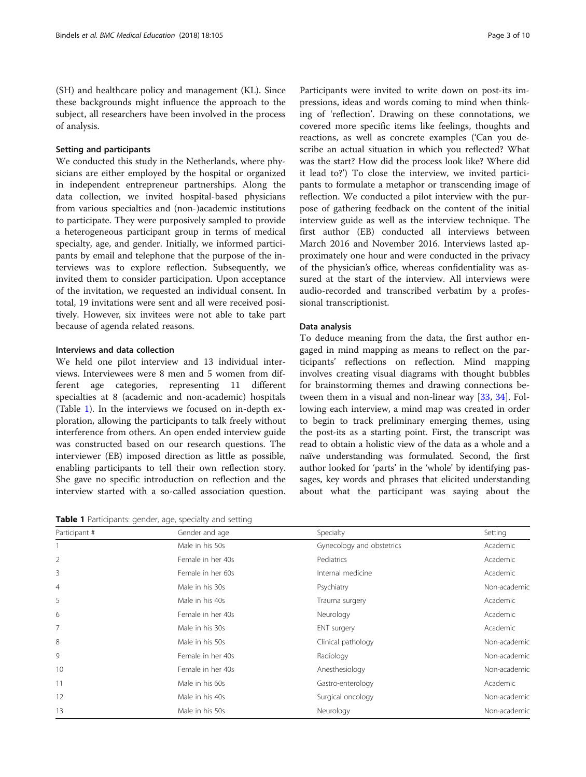(SH) and healthcare policy and management (KL). Since these backgrounds might influence the approach to the subject, all researchers have been involved in the process of analysis.

### Setting and participants

We conducted this study in the Netherlands, where physicians are either employed by the hospital or organized in independent entrepreneur partnerships. Along the data collection, we invited hospital-based physicians from various specialties and (non-)academic institutions to participate. They were purposively sampled to provide a heterogeneous participant group in terms of medical specialty, age, and gender. Initially, we informed participants by email and telephone that the purpose of the interviews was to explore reflection. Subsequently, we invited them to consider participation. Upon acceptance of the invitation, we requested an individual consent. In total, 19 invitations were sent and all were received positively. However, six invitees were not able to take part because of agenda related reasons.

## Interviews and data collection

We held one pilot interview and 13 individual interviews. Interviewees were 8 men and 5 women from different age categories, representing 11 different specialties at 8 (academic and non-academic) hospitals (Table 1). In the interviews we focused on in-depth exploration, allowing the participants to talk freely without interference from others. An open ended interview guide was constructed based on our research questions. The interviewer (EB) imposed direction as little as possible, enabling participants to tell their own reflection story. She gave no specific introduction on reflection and the interview started with a so-called association question.

Table 1 Participants: gender, age, specialty and setting

Participants were invited to write down on post-its impressions, ideas and words coming to mind when thinking of 'reflection'. Drawing on these connotations, we covered more specific items like feelings, thoughts and reactions, as well as concrete examples ('Can you describe an actual situation in which you reflected? What was the start? How did the process look like? Where did it lead to?') To close the interview, we invited participants to formulate a metaphor or transcending image of reflection. We conducted a pilot interview with the purpose of gathering feedback on the content of the initial interview guide as well as the interview technique. The first author (EB) conducted all interviews between March 2016 and November 2016. Interviews lasted approximately one hour and were conducted in the privacy of the physician's office, whereas confidentiality was assured at the start of the interview. All interviews were audio-recorded and transcribed verbatim by a professional transcriptionist.

## Data analysis

To deduce meaning from the data, the first author engaged in mind mapping as means to reflect on the participants' reflections on reflection. Mind mapping involves creating visual diagrams with thought bubbles for brainstorming themes and drawing connections between them in a visual and non-linear way [\[33](#page-9-0), [34\]](#page-9-0). Following each interview, a mind map was created in order to begin to track preliminary emerging themes, using the post-its as a starting point. First, the transcript was read to obtain a holistic view of the data as a whole and a naïve understanding was formulated. Second, the first author looked for 'parts' in the 'whole' by identifying passages, key words and phrases that elicited understanding about what the participant was saying about the

| Participant #  | Gender and age    | Specialty                 | Setting      |
|----------------|-------------------|---------------------------|--------------|
|                | Male in his 50s   | Gynecology and obstetrics | Academic     |
| 2              | Female in her 40s | Pediatrics                | Academic     |
| 3              | Female in her 60s | Internal medicine         | Academic     |
| $\overline{4}$ | Male in his 30s   | Psychiatry                | Non-academic |
| 5              | Male in his 40s   | Trauma surgery            | Academic     |
| 6              | Female in her 40s | Neurology                 | Academic     |
| 7              | Male in his 30s   | ENT surgery               | Academic     |
| 8              | Male in his 50s   | Clinical pathology        | Non-academic |
| 9              | Female in her 40s | Radiology                 | Non-academic |
| 10             | Female in her 40s | Anesthesiology            | Non-academic |
| 11             | Male in his 60s   | Gastro-enterology         | Academic     |
| 12             | Male in his 40s   | Surgical oncology         | Non-academic |
| 13             | Male in his 50s   | Neurology                 | Non-academic |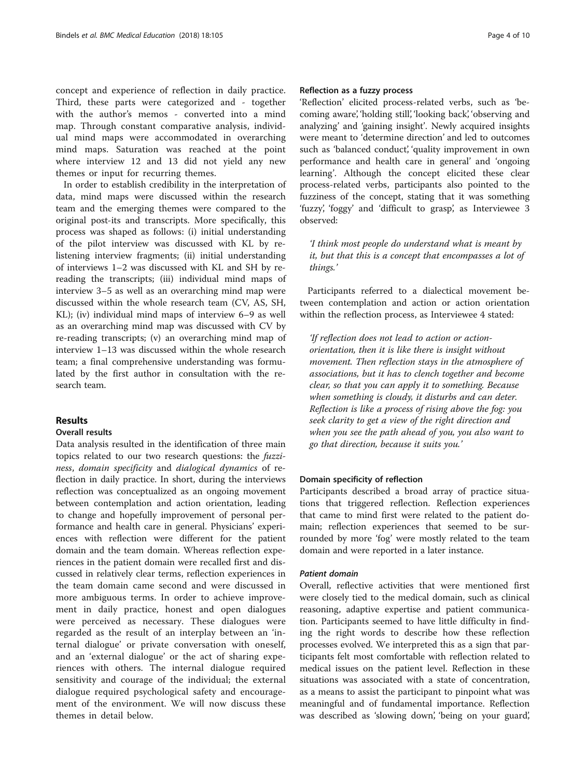concept and experience of reflection in daily practice. Third, these parts were categorized and - together with the author's memos - converted into a mind map. Through constant comparative analysis, individual mind maps were accommodated in overarching mind maps. Saturation was reached at the point where interview 12 and 13 did not yield any new themes or input for recurring themes.

In order to establish credibility in the interpretation of data, mind maps were discussed within the research team and the emerging themes were compared to the original post-its and transcripts. More specifically, this process was shaped as follows: (i) initial understanding of the pilot interview was discussed with KL by relistening interview fragments; (ii) initial understanding of interviews 1–2 was discussed with KL and SH by rereading the transcripts; (iii) individual mind maps of interview 3–5 as well as an overarching mind map were discussed within the whole research team (CV, AS, SH, KL); (iv) individual mind maps of interview 6–9 as well as an overarching mind map was discussed with CV by re-reading transcripts; (v) an overarching mind map of interview 1–13 was discussed within the whole research team; a final comprehensive understanding was formulated by the first author in consultation with the research team.

# Results

#### Overall results

Data analysis resulted in the identification of three main topics related to our two research questions: the fuzziness, domain specificity and dialogical dynamics of reflection in daily practice. In short, during the interviews reflection was conceptualized as an ongoing movement between contemplation and action orientation, leading to change and hopefully improvement of personal performance and health care in general. Physicians' experiences with reflection were different for the patient domain and the team domain. Whereas reflection experiences in the patient domain were recalled first and discussed in relatively clear terms, reflection experiences in the team domain came second and were discussed in more ambiguous terms. In order to achieve improvement in daily practice, honest and open dialogues were perceived as necessary. These dialogues were regarded as the result of an interplay between an 'internal dialogue' or private conversation with oneself, and an 'external dialogue' or the act of sharing experiences with others. The internal dialogue required sensitivity and courage of the individual; the external dialogue required psychological safety and encouragement of the environment. We will now discuss these themes in detail below.

# Reflection as a fuzzy process

'Reflection' elicited process-related verbs, such as 'becoming aware', 'holding still', 'looking back', 'observing and analyzing' and 'gaining insight'. Newly acquired insights were meant to 'determine direction' and led to outcomes such as 'balanced conduct', 'quality improvement in own performance and health care in general' and 'ongoing learning'. Although the concept elicited these clear process-related verbs, participants also pointed to the fuzziness of the concept, stating that it was something 'fuzzy', 'foggy' and 'difficult to grasp', as Interviewee 3 observed:

'I think most people do understand what is meant by it, but that this is a concept that encompasses a lot of things.'

Participants referred to a dialectical movement between contemplation and action or action orientation within the reflection process, as Interviewee 4 stated:

'If reflection does not lead to action or actionorientation, then it is like there is insight without movement. Then reflection stays in the atmosphere of associations, but it has to clench together and become clear, so that you can apply it to something. Because when something is cloudy, it disturbs and can deter. Reflection is like a process of rising above the fog: you seek clarity to get a view of the right direction and when you see the path ahead of you, you also want to go that direction, because it suits you.'

#### Domain specificity of reflection

Participants described a broad array of practice situations that triggered reflection. Reflection experiences that came to mind first were related to the patient domain; reflection experiences that seemed to be surrounded by more 'fog' were mostly related to the team domain and were reported in a later instance.

# Patient domain

Overall, reflective activities that were mentioned first were closely tied to the medical domain, such as clinical reasoning, adaptive expertise and patient communication. Participants seemed to have little difficulty in finding the right words to describe how these reflection processes evolved. We interpreted this as a sign that participants felt most comfortable with reflection related to medical issues on the patient level. Reflection in these situations was associated with a state of concentration, as a means to assist the participant to pinpoint what was meaningful and of fundamental importance. Reflection was described as 'slowing down', 'being on your guard',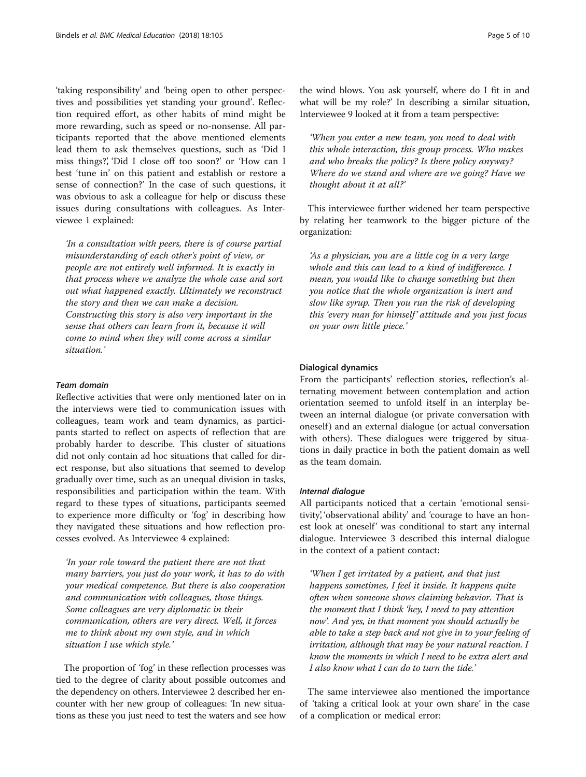'taking responsibility' and 'being open to other perspectives and possibilities yet standing your ground'. Reflection required effort, as other habits of mind might be more rewarding, such as speed or no-nonsense. All participants reported that the above mentioned elements lead them to ask themselves questions, such as 'Did I miss things?', 'Did I close off too soon?' or 'How can I best 'tune in' on this patient and establish or restore a sense of connection?' In the case of such questions, it was obvious to ask a colleague for help or discuss these issues during consultations with colleagues. As Interviewee 1 explained:

'In a consultation with peers, there is of course partial misunderstanding of each other's point of view, or people are not entirely well informed. It is exactly in that process where we analyze the whole case and sort out what happened exactly. Ultimately we reconstruct the story and then we can make a decision. Constructing this story is also very important in the sense that others can learn from it, because it will come to mind when they will come across a similar situation.'

## Team domain

Reflective activities that were only mentioned later on in the interviews were tied to communication issues with colleagues, team work and team dynamics, as participants started to reflect on aspects of reflection that are probably harder to describe. This cluster of situations did not only contain ad hoc situations that called for direct response, but also situations that seemed to develop gradually over time, such as an unequal division in tasks, responsibilities and participation within the team. With regard to these types of situations, participants seemed to experience more difficulty or 'fog' in describing how they navigated these situations and how reflection processes evolved. As Interviewee 4 explained:

'In your role toward the patient there are not that many barriers, you just do your work, it has to do with your medical competence. But there is also cooperation and communication with colleagues, those things. Some colleagues are very diplomatic in their communication, others are very direct. Well, it forces me to think about my own style, and in which situation I use which style.'

The proportion of 'fog' in these reflection processes was tied to the degree of clarity about possible outcomes and the dependency on others. Interviewee 2 described her encounter with her new group of colleagues: 'In new situations as these you just need to test the waters and see how the wind blows. You ask yourself, where do I fit in and what will be my role?' In describing a similar situation, Interviewee 9 looked at it from a team perspective:

'When you enter a new team, you need to deal with this whole interaction, this group process. Who makes and who breaks the policy? Is there policy anyway? Where do we stand and where are we going? Have we thought about it at all?'

This interviewee further widened her team perspective by relating her teamwork to the bigger picture of the organization:

'As a physician, you are a little cog in a very large whole and this can lead to a kind of indifference. I mean, you would like to change something but then you notice that the whole organization is inert and slow like syrup. Then you run the risk of developing this 'every man for himself' attitude and you just focus on your own little piece.'

#### Dialogical dynamics

From the participants' reflection stories, reflection's alternating movement between contemplation and action orientation seemed to unfold itself in an interplay between an internal dialogue (or private conversation with oneself) and an external dialogue (or actual conversation with others). These dialogues were triggered by situations in daily practice in both the patient domain as well as the team domain.

#### Internal dialogue

All participants noticed that a certain 'emotional sensitivity', 'observational ability' and 'courage to have an honest look at oneself' was conditional to start any internal dialogue. Interviewee 3 described this internal dialogue in the context of a patient contact:

'When I get irritated by a patient, and that just happens sometimes, I feel it inside. It happens quite often when someone shows claiming behavior. That is the moment that I think 'hey, I need to pay attention now'. And yes, in that moment you should actually be able to take a step back and not give in to your feeling of irritation, although that may be your natural reaction. I know the moments in which I need to be extra alert and I also know what I can do to turn the tide.'

The same interviewee also mentioned the importance of 'taking a critical look at your own share' in the case of a complication or medical error: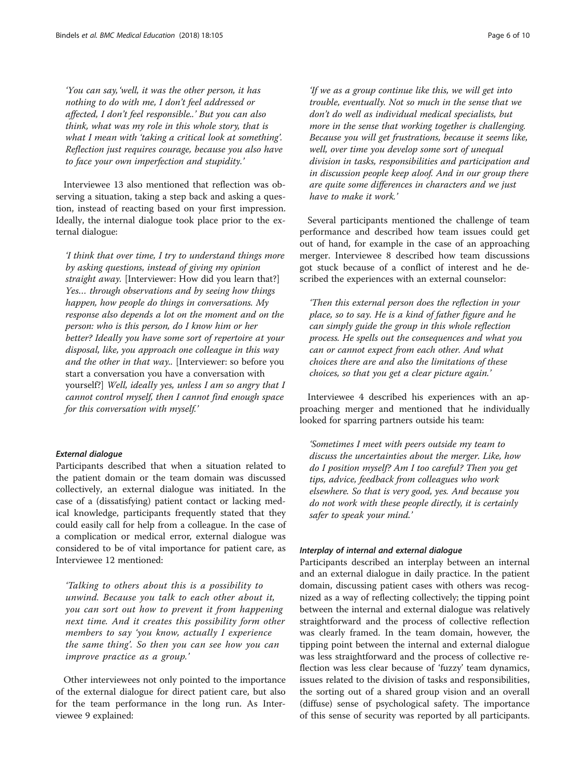'You can say, 'well, it was the other person, it has nothing to do with me, I don't feel addressed or affected, I don't feel responsible..' But you can also think, what was my role in this whole story, that is what I mean with 'taking a critical look at something'. Reflection just requires courage, because you also have to face your own imperfection and stupidity.'

Interviewee 13 also mentioned that reflection was observing a situation, taking a step back and asking a question, instead of reacting based on your first impression. Ideally, the internal dialogue took place prior to the external dialogue:

'I think that over time, I try to understand things more by asking questions, instead of giving my opinion straight away. [Interviewer: How did you learn that?] Yes… through observations and by seeing how things happen, how people do things in conversations. My response also depends a lot on the moment and on the person: who is this person, do I know him or her better? Ideally you have some sort of repertoire at your disposal, like, you approach one colleague in this way and the other in that way.. [Interviewer: so before you start a conversation you have a conversation with yourself?] Well, ideally yes, unless I am so angry that I cannot control myself, then I cannot find enough space for this conversation with myself.'

## External dialogue

Participants described that when a situation related to the patient domain or the team domain was discussed collectively, an external dialogue was initiated. In the case of a (dissatisfying) patient contact or lacking medical knowledge, participants frequently stated that they could easily call for help from a colleague. In the case of a complication or medical error, external dialogue was considered to be of vital importance for patient care, as Interviewee 12 mentioned:

'Talking to others about this is a possibility to unwind. Because you talk to each other about it, you can sort out how to prevent it from happening next time. And it creates this possibility form other members to say 'you know, actually I experience the same thing'. So then you can see how you can improve practice as a group.'

Other interviewees not only pointed to the importance of the external dialogue for direct patient care, but also for the team performance in the long run. As Interviewee 9 explained:

'If we as a group continue like this, we will get into trouble, eventually. Not so much in the sense that we don't do well as individual medical specialists, but more in the sense that working together is challenging. Because you will get frustrations, because it seems like, well, over time you develop some sort of unequal division in tasks, responsibilities and participation and in discussion people keep aloof. And in our group there are quite some differences in characters and we just have to make it work.'

Several participants mentioned the challenge of team performance and described how team issues could get out of hand, for example in the case of an approaching merger. Interviewee 8 described how team discussions got stuck because of a conflict of interest and he described the experiences with an external counselor:

'Then this external person does the reflection in your place, so to say. He is a kind of father figure and he can simply guide the group in this whole reflection process. He spells out the consequences and what you can or cannot expect from each other. And what choices there are and also the limitations of these choices, so that you get a clear picture again.'

Interviewee 4 described his experiences with an approaching merger and mentioned that he individually looked for sparring partners outside his team:

'Sometimes I meet with peers outside my team to discuss the uncertainties about the merger. Like, how do I position myself? Am I too careful? Then you get tips, advice, feedback from colleagues who work elsewhere. So that is very good, yes. And because you do not work with these people directly, it is certainly safer to speak your mind.'

## Interplay of internal and external dialogue

Participants described an interplay between an internal and an external dialogue in daily practice. In the patient domain, discussing patient cases with others was recognized as a way of reflecting collectively; the tipping point between the internal and external dialogue was relatively straightforward and the process of collective reflection was clearly framed. In the team domain, however, the tipping point between the internal and external dialogue was less straightforward and the process of collective reflection was less clear because of 'fuzzy' team dynamics, issues related to the division of tasks and responsibilities, the sorting out of a shared group vision and an overall (diffuse) sense of psychological safety. The importance of this sense of security was reported by all participants.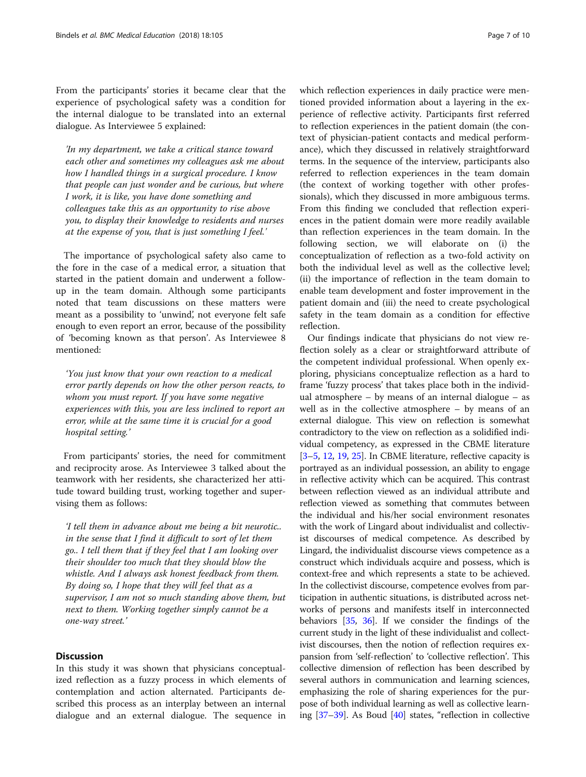From the participants' stories it became clear that the experience of psychological safety was a condition for the internal dialogue to be translated into an external dialogue. As Interviewee 5 explained:

'In my department, we take a critical stance toward each other and sometimes my colleagues ask me about how I handled things in a surgical procedure. I know that people can just wonder and be curious, but where I work, it is like, you have done something and colleagues take this as an opportunity to rise above you, to display their knowledge to residents and nurses at the expense of you, that is just something I feel.'

The importance of psychological safety also came to the fore in the case of a medical error, a situation that started in the patient domain and underwent a followup in the team domain. Although some participants noted that team discussions on these matters were meant as a possibility to 'unwind', not everyone felt safe enough to even report an error, because of the possibility of 'becoming known as that person'. As Interviewee 8 mentioned:

'You just know that your own reaction to a medical error partly depends on how the other person reacts, to whom you must report. If you have some negative experiences with this, you are less inclined to report an error, while at the same time it is crucial for a good hospital setting.'

From participants' stories, the need for commitment and reciprocity arose. As Interviewee 3 talked about the teamwork with her residents, she characterized her attitude toward building trust, working together and supervising them as follows:

'I tell them in advance about me being a bit neurotic.. in the sense that I find it difficult to sort of let them go.. I tell them that if they feel that I am looking over their shoulder too much that they should blow the whistle. And I always ask honest feedback from them. By doing so, I hope that they will feel that as a supervisor, I am not so much standing above them, but next to them. Working together simply cannot be a one-way street.'

## **Discussion**

In this study it was shown that physicians conceptualized reflection as a fuzzy process in which elements of contemplation and action alternated. Participants described this process as an interplay between an internal dialogue and an external dialogue. The sequence in which reflection experiences in daily practice were mentioned provided information about a layering in the experience of reflective activity. Participants first referred to reflection experiences in the patient domain (the context of physician-patient contacts and medical performance), which they discussed in relatively straightforward terms. In the sequence of the interview, participants also referred to reflection experiences in the team domain (the context of working together with other professionals), which they discussed in more ambiguous terms. From this finding we concluded that reflection experiences in the patient domain were more readily available than reflection experiences in the team domain. In the following section, we will elaborate on (i) the conceptualization of reflection as a two-fold activity on both the individual level as well as the collective level; (ii) the importance of reflection in the team domain to enable team development and foster improvement in the patient domain and (iii) the need to create psychological safety in the team domain as a condition for effective reflection.

Our findings indicate that physicians do not view reflection solely as a clear or straightforward attribute of the competent individual professional. When openly exploring, physicians conceptualize reflection as a hard to frame 'fuzzy process' that takes place both in the individual atmosphere  $-$  by means of an internal dialogue  $-$  as well as in the collective atmosphere – by means of an external dialogue. This view on reflection is somewhat contradictory to the view on reflection as a solidified individual competency, as expressed in the CBME literature [[3](#page-9-0)–[5](#page-9-0), [12,](#page-9-0) [19,](#page-9-0) [25](#page-9-0)]. In CBME literature, reflective capacity is portrayed as an individual possession, an ability to engage in reflective activity which can be acquired. This contrast between reflection viewed as an individual attribute and reflection viewed as something that commutes between the individual and his/her social environment resonates with the work of Lingard about individualist and collectivist discourses of medical competence. As described by Lingard, the individualist discourse views competence as a construct which individuals acquire and possess, which is context-free and which represents a state to be achieved. In the collectivist discourse, competence evolves from participation in authentic situations, is distributed across networks of persons and manifests itself in interconnected behaviors [\[35,](#page-9-0) [36](#page-9-0)]. If we consider the findings of the current study in the light of these individualist and collectivist discourses, then the notion of reflection requires expansion from 'self-reflection' to 'collective reflection'. This collective dimension of reflection has been described by several authors in communication and learning sciences, emphasizing the role of sharing experiences for the purpose of both individual learning as well as collective learning [[37](#page-9-0)–[39\]](#page-9-0). As Boud [\[40\]](#page-9-0) states, "reflection in collective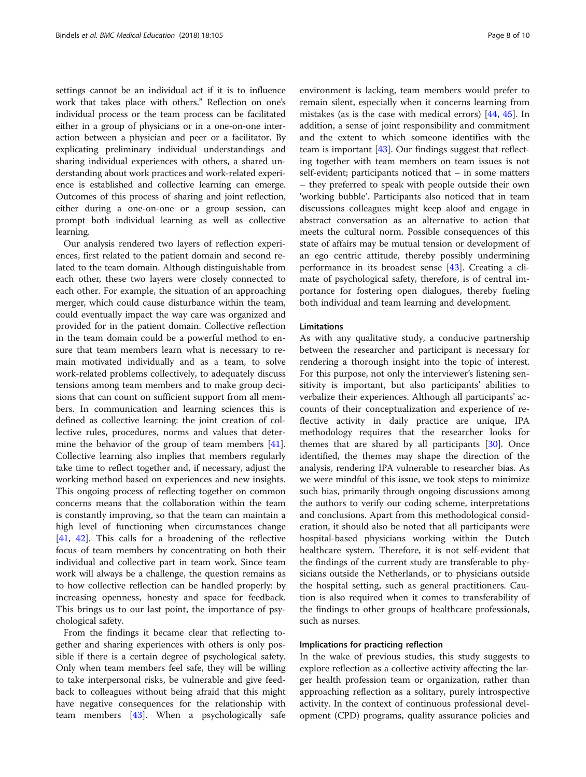settings cannot be an individual act if it is to influence work that takes place with others." Reflection on one's individual process or the team process can be facilitated either in a group of physicians or in a one-on-one interaction between a physician and peer or a facilitator. By explicating preliminary individual understandings and sharing individual experiences with others, a shared understanding about work practices and work-related experience is established and collective learning can emerge. Outcomes of this process of sharing and joint reflection, either during a one-on-one or a group session, can prompt both individual learning as well as collective learning.

Our analysis rendered two layers of reflection experiences, first related to the patient domain and second related to the team domain. Although distinguishable from each other, these two layers were closely connected to each other. For example, the situation of an approaching merger, which could cause disturbance within the team, could eventually impact the way care was organized and provided for in the patient domain. Collective reflection in the team domain could be a powerful method to ensure that team members learn what is necessary to remain motivated individually and as a team, to solve work-related problems collectively, to adequately discuss tensions among team members and to make group decisions that can count on sufficient support from all members. In communication and learning sciences this is defined as collective learning: the joint creation of collective rules, procedures, norms and values that determine the behavior of the group of team members [\[41](#page-9-0)]. Collective learning also implies that members regularly take time to reflect together and, if necessary, adjust the working method based on experiences and new insights. This ongoing process of reflecting together on common concerns means that the collaboration within the team is constantly improving, so that the team can maintain a high level of functioning when circumstances change [[41,](#page-9-0) [42\]](#page-9-0). This calls for a broadening of the reflective focus of team members by concentrating on both their individual and collective part in team work. Since team work will always be a challenge, the question remains as to how collective reflection can be handled properly: by increasing openness, honesty and space for feedback. This brings us to our last point, the importance of psychological safety.

From the findings it became clear that reflecting together and sharing experiences with others is only possible if there is a certain degree of psychological safety. Only when team members feel safe, they will be willing to take interpersonal risks, be vulnerable and give feedback to colleagues without being afraid that this might have negative consequences for the relationship with team members [[43\]](#page-9-0). When a psychologically safe environment is lacking, team members would prefer to remain silent, especially when it concerns learning from mistakes (as is the case with medical errors) [[44,](#page-9-0) [45](#page-9-0)]. In addition, a sense of joint responsibility and commitment and the extent to which someone identifies with the team is important [\[43](#page-9-0)]. Our findings suggest that reflecting together with team members on team issues is not self-evident; participants noticed that – in some matters – they preferred to speak with people outside their own 'working bubble'. Participants also noticed that in team discussions colleagues might keep aloof and engage in abstract conversation as an alternative to action that meets the cultural norm. Possible consequences of this state of affairs may be mutual tension or development of an ego centric attitude, thereby possibly undermining performance in its broadest sense [\[43\]](#page-9-0). Creating a climate of psychological safety, therefore, is of central importance for fostering open dialogues, thereby fueling both individual and team learning and development.

#### Limitations

As with any qualitative study, a conducive partnership between the researcher and participant is necessary for rendering a thorough insight into the topic of interest. For this purpose, not only the interviewer's listening sensitivity is important, but also participants' abilities to verbalize their experiences. Although all participants' accounts of their conceptualization and experience of reflective activity in daily practice are unique, IPA methodology requires that the researcher looks for themes that are shared by all participants [\[30](#page-9-0)]. Once identified, the themes may shape the direction of the analysis, rendering IPA vulnerable to researcher bias. As we were mindful of this issue, we took steps to minimize such bias, primarily through ongoing discussions among the authors to verify our coding scheme, interpretations and conclusions. Apart from this methodological consideration, it should also be noted that all participants were hospital-based physicians working within the Dutch healthcare system. Therefore, it is not self-evident that the findings of the current study are transferable to physicians outside the Netherlands, or to physicians outside the hospital setting, such as general practitioners. Caution is also required when it comes to transferability of the findings to other groups of healthcare professionals, such as nurses.

### Implications for practicing reflection

In the wake of previous studies, this study suggests to explore reflection as a collective activity affecting the larger health profession team or organization, rather than approaching reflection as a solitary, purely introspective activity. In the context of continuous professional development (CPD) programs, quality assurance policies and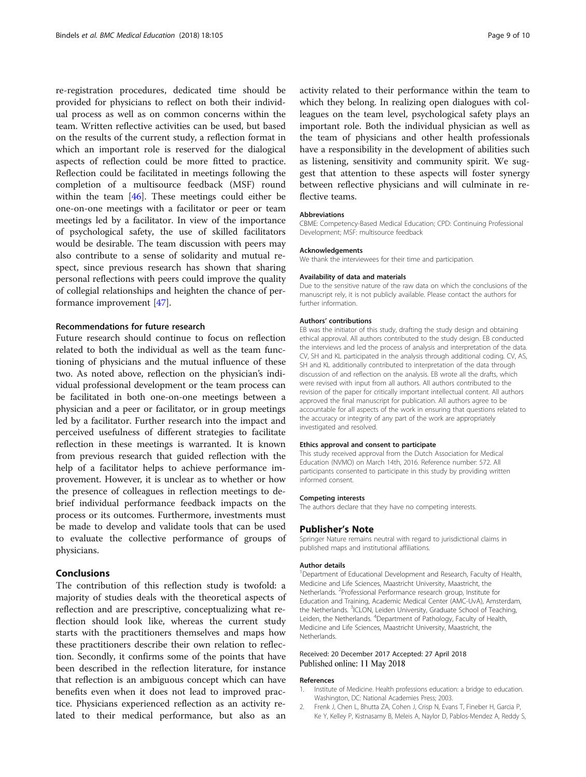<span id="page-8-0"></span>re-registration procedures, dedicated time should be provided for physicians to reflect on both their individual process as well as on common concerns within the team. Written reflective activities can be used, but based on the results of the current study, a reflection format in which an important role is reserved for the dialogical aspects of reflection could be more fitted to practice. Reflection could be facilitated in meetings following the completion of a multisource feedback (MSF) round within the team [[46\]](#page-9-0). These meetings could either be one-on-one meetings with a facilitator or peer or team meetings led by a facilitator. In view of the importance of psychological safety, the use of skilled facilitators would be desirable. The team discussion with peers may also contribute to a sense of solidarity and mutual respect, since previous research has shown that sharing personal reflections with peers could improve the quality of collegial relationships and heighten the chance of performance improvement [\[47\]](#page-9-0).

## Recommendations for future research

Future research should continue to focus on reflection related to both the individual as well as the team functioning of physicians and the mutual influence of these two. As noted above, reflection on the physician's individual professional development or the team process can be facilitated in both one-on-one meetings between a physician and a peer or facilitator, or in group meetings led by a facilitator. Further research into the impact and perceived usefulness of different strategies to facilitate reflection in these meetings is warranted. It is known from previous research that guided reflection with the help of a facilitator helps to achieve performance improvement. However, it is unclear as to whether or how the presence of colleagues in reflection meetings to debrief individual performance feedback impacts on the process or its outcomes. Furthermore, investments must be made to develop and validate tools that can be used to evaluate the collective performance of groups of physicians.

# Conclusions

The contribution of this reflection study is twofold: a majority of studies deals with the theoretical aspects of reflection and are prescriptive, conceptualizing what reflection should look like, whereas the current study starts with the practitioners themselves and maps how these practitioners describe their own relation to reflection. Secondly, it confirms some of the points that have been described in the reflection literature, for instance that reflection is an ambiguous concept which can have benefits even when it does not lead to improved practice. Physicians experienced reflection as an activity related to their medical performance, but also as an

activity related to their performance within the team to which they belong. In realizing open dialogues with colleagues on the team level, psychological safety plays an important role. Both the individual physician as well as the team of physicians and other health professionals have a responsibility in the development of abilities such as listening, sensitivity and community spirit. We suggest that attention to these aspects will foster synergy between reflective physicians and will culminate in reflective teams.

#### Abbreviations

CBME: Competency-Based Medical Education; CPD: Continuing Professional Development; MSF: multisource feedback

#### Acknowledgements

We thank the interviewees for their time and participation.

#### Availability of data and materials

Due to the sensitive nature of the raw data on which the conclusions of the manuscript rely, it is not publicly available. Please contact the authors for further information.

#### Authors' contributions

EB was the initiator of this study, drafting the study design and obtaining ethical approval. All authors contributed to the study design. EB conducted the interviews and led the process of analysis and interpretation of the data. CV, SH and KL participated in the analysis through additional coding. CV, AS, SH and KL additionally contributed to interpretation of the data through discussion of and reflection on the analysis. EB wrote all the drafts, which were revised with input from all authors. All authors contributed to the revision of the paper for critically important intellectual content. All authors approved the final manuscript for publication. All authors agree to be accountable for all aspects of the work in ensuring that questions related to the accuracy or integrity of any part of the work are appropriately investigated and resolved.

#### Ethics approval and consent to participate

This study received approval from the Dutch Association for Medical Education (NVMO) on March 14th, 2016. Reference number: 572. All participants consented to participate in this study by providing written informed consent.

#### Competing interests

The authors declare that they have no competing interests.

#### Publisher's Note

Springer Nature remains neutral with regard to jurisdictional claims in published maps and institutional affiliations.

#### Author details

<sup>1</sup>Department of Educational Development and Research, Faculty of Health, Medicine and Life Sciences, Maastricht University, Maastricht, the Netherlands. <sup>2</sup>Professional Performance research group, Institute for Education and Training, Academic Medical Center (AMC-UvA), Amsterdam, the Netherlands. <sup>3</sup>ICLON, Leiden University, Graduate School of Teaching, Leiden, the Netherlands. <sup>4</sup>Department of Pathology, Faculty of Health Medicine and Life Sciences, Maastricht University, Maastricht, the Netherlands.

#### Received: 20 December 2017 Accepted: 27 April 2018 Published online: 11 May 2018

#### References

- 1. Institute of Medicine. Health professions education: a bridge to education. Washington, DC: National Academies Press; 2003.
- 2. Frenk J, Chen L, Bhutta ZA, Cohen J, Crisp N, Evans T, Fineber H, Garcia P, Ke Y, Kelley P, Kistnasamy B, Meleis A, Naylor D, Pablos-Mendez A, Reddy S,